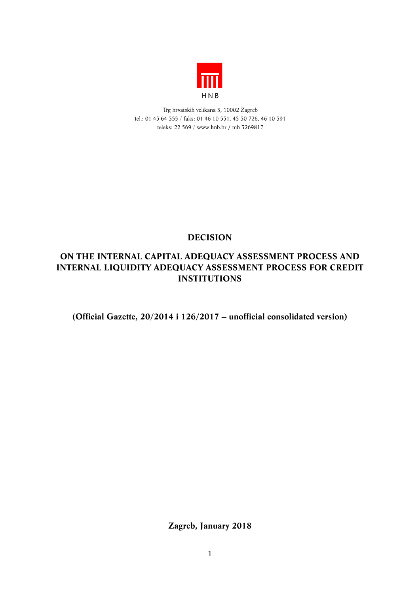

Trg hrvatskih velikana 3, 10002 Zagreb tel.: 01 45 64 555 / faks: 01 46 10 551, 45 50 726, 46 10 591 teleks: 22 569 / www.hnb.hr / mb 3269817

# *DECISION*

## *ON THE INTERNAL CAPITAL ADEQUACY ASSESSMENT PROCESS AND INTERNAL LIQUIDITY ADEQUACY ASSESSMENT PROCESS FOR CREDIT INSTITUTIONS*

*(Official Gazette, 20/2014 i 126/2017 – unofficial consolidated version)*

*Zagreb, January 2018*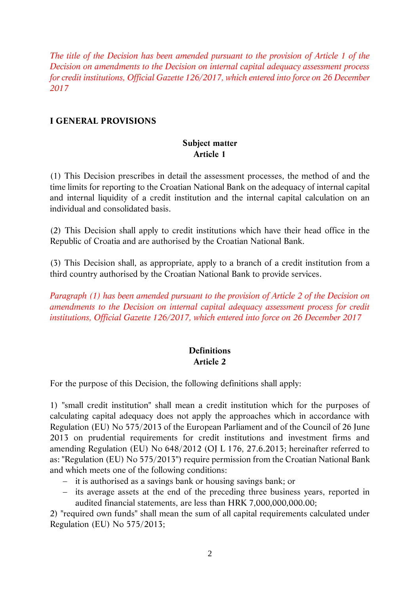*The title of the Decision has been amended pursuant to the provision of Article 1 of the Decision on amendments to the Decision on internal capital adequacy assessment process for credit institutions, Official Gazette 126/2017, which entered into force on 26 December 2017* 

#### *I GENERAL PROVISIONS*

### *Subject matter Article 1*

*(1) This Decision prescribes in detail the assessment processes, the method of and the time limits for reporting to the Croatian National Bank on the adequacy of internal capital and internal liquidity of a credit institution and the internal capital calculation on an individual and consolidated basis.*

*(2) This Decision shall apply to credit institutions which have their head office in the Republic of Croatia and are authorised by the Croatian National Bank.* 

*(3) This Decision shall, as appropriate, apply to a branch of a credit institution from a third country authorised by the Croatian National Bank to provide services.*

*Paragraph (1) has been amended pursuant to the provision of Article 2 of the Decision on amendments to the Decision on internal capital adequacy assessment process for credit institutions, Official Gazette 126/2017, which entered into force on 26 December 2017*

### *Definitions Article 2*

*For the purpose of this Decision, the following definitions shall apply:*

*1) "small credit institution" shall mean a credit institution which for the purposes of calculating capital adequacy does not apply the approaches which in accordance with Regulation (EU) No 575/2013 of the European Parliament and of the Council of 26 June 2013 on prudential requirements for credit institutions and investment firms and amending Regulation (EU) No 648/2012 (OJ L 176, 27.6.2013; hereinafter referred to as: "Regulation (EU) No 575/2013") require permission from the Croatian National Bank and which meets one of the following conditions:*

- *it is authorised as a savings bank or housing savings bank; or*
- *its average assets at the end of the preceding three business years, reported in audited financial statements, are less than HRK 7,000,000,000.00;*

*2) "required own funds" shall mean the sum of all capital requirements calculated under Regulation (EU) No 575/2013;*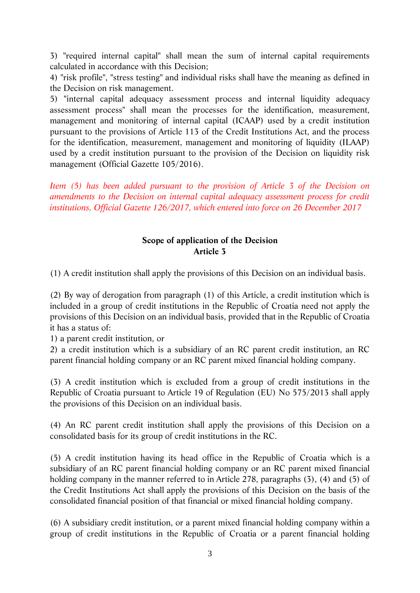*3) "required internal capital" shall mean the sum of internal capital requirements calculated in accordance with this Decision;*

*4) "risk profile", "stress testing" and individual risks shall have the meaning as defined in the Decision on risk management.*

*5) "internal capital adequacy assessment process and internal liquidity adequacy assessment process" shall mean the processes for the identification, measurement, management and monitoring of internal capital (ICAAP) used by a credit institution pursuant to the provisions of Article 113 of the Credit Institutions Act, and the process*  for the identification, measurement, management and monitoring of liquidity (ILAAP) *used by a credit institution pursuant to the provision of the Decision on liquidity risk management (Official Gazette 105/2016).*

*Item (5) has been added pursuant to the provision of Article 3 of the Decision on amendments to the Decision on internal capital adequacy assessment process for credit institutions, Official Gazette 126/2017, which entered into force on 26 December 2017*

### *Scope of application of the Decision Article 3*

*(1) A credit institution shall apply the provisions of this Decision on an individual basis.*

*(2) By way of derogation from paragraph (1) of this Article, a credit institution which is included in a group of credit institutions in the Republic of Croatia need not apply the provisions of this Decision on an individual basis, provided that in the Republic of Croatia it has a status of:*

*1) a parent credit institution, or*

*2) a credit institution which is a subsidiary of an RC parent credit institution, an RC parent financial holding company or an RC parent mixed financial holding company.*

*(3) A credit institution which is excluded from a group of credit institutions in the Republic of Croatia pursuant to Article 19 of Regulation (EU) No 575/2013 shall apply the provisions of this Decision on an individual basis.*

*(4) An RC parent credit institution shall apply the provisions of this Decision on a consolidated basis for its group of credit institutions in the RC.*

*(5) A credit institution having its head office in the Republic of Croatia which is a subsidiary of an RC parent financial holding company or an RC parent mixed financial holding company in the manner referred to in Article 278, paragraphs (3), (4) and (5) of the Credit Institutions Act shall apply the provisions of this Decision on the basis of the consolidated financial position of that financial or mixed financial holding company.*

*(6) A subsidiary credit institution, or a parent mixed financial holding company within a group of credit institutions in the Republic of Croatia or a parent financial holding*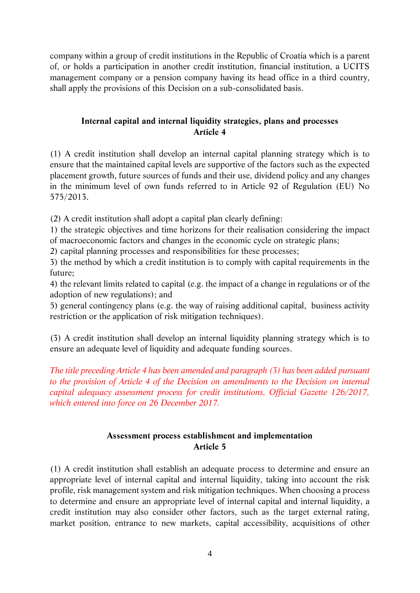*company within a group of credit institutions in the Republic of Croatia which is a parent of, or holds a participation in another credit institution, financial institution, a UCITS*  management company or a pension company having its head office in a third country, *shall apply the provisions of this Decision on a sub-consolidated basis.*

#### *Internal capital and internal liquidity strategies, plans and processes Article 4*

*(1) A credit institution shall develop an internal capital planning strategy which is to ensure that the maintained capital levels are supportive of the factors such as the expected placement growth, future sources of funds and their use, dividend policy and any changes in the minimum level of own funds referred to in Article 92 of Regulation (EU) No 575/2013.* 

*(2) A credit institution shall adopt a capital plan clearly defining:*

*1) the strategic objectives and time horizons for their realisation considering the impact of macroeconomic factors and changes in the economic cycle on strategic plans;*

*2) capital planning processes and responsibilities for these processes;* 

*3) the method by which a credit institution is to comply with capital requirements in the future;*

*4) the relevant limits related to capital (e.g. the impact of a change in regulations or of the adoption of new regulations); and* 

*5) general contingency plans (e.g. the way of raising additional capital, business activity restriction or the application of risk mitigation techniques).*

*(3) A credit institution shall develop an internal liquidity planning strategy which is to ensure an adequate level of liquidity and adequate funding sources.*

*The title preceding Article 4 has been amended and paragraph (3) has been added pursuant to the provision of Article 4 of the Decision on amendments to the Decision on internal capital adequacy assessment process for credit institutions, Official Gazette 126/2017, which entered into force on 26 December 2017.*

### *Assessment process establishment and implementation Article 5*

*(1) A credit institution shall establish an adequate process to determine and ensure an appropriate level of internal capital and internal liquidity, taking into account the risk profile, risk management system and risk mitigation techniques. When choosing a process to determine and ensure an appropriate level of internal capital and internal liquidity, a credit institution may also consider other factors, such as the target external rating, market position, entrance to new markets, capital accessibility, acquisitions of other*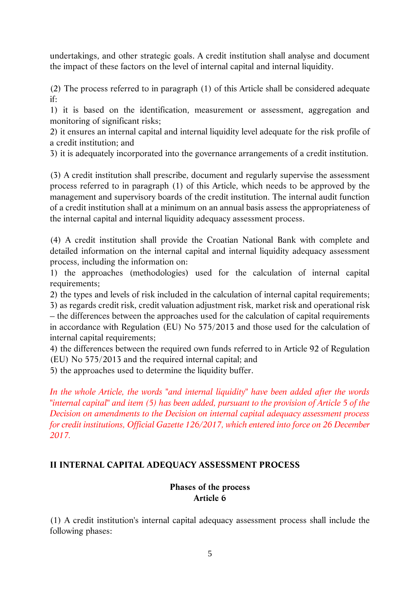*undertakings, and other strategic goals. A credit institution shall analyse and document the impact of these factors on the level of internal capital and internal liquidity.*

*(2) The process referred to in paragraph (1) of this Article shall be considered adequate if:*

*1) it is based on the identification, measurement or assessment, aggregation and monitoring of significant risks;*

*2) it ensures an internal capital and internal liquidity level adequate for the risk profile of a credit institution; and*

*3) it is adequately incorporated into the governance arrangements of a credit institution.* 

*(3) A credit institution shall prescribe, document and regularly supervise the assessment process referred to in paragraph (1) of this Article, which needs to be approved by the management and supervisory boards of the credit institution. The internal audit function of a credit institution shall at a minimum on an annual basis assess the appropriateness of the internal capital and internal liquidity adequacy assessment process.*

*(4) A credit institution shall provide the Croatian National Bank with complete and detailed information on the internal capital and internal liquidity adequacy assessment process, including the information on:*

*1) the approaches (methodologies) used for the calculation of internal capital requirements;*

*2) the types and levels of risk included in the calculation of internal capital requirements; 3) as regards credit risk, credit valuation adjustment risk, market risk and operational risk – the differences between the approaches used for the calculation of capital requirements in accordance with Regulation (EU) No 575/2013 and those used for the calculation of internal capital requirements;* 

*4) the differences between the required own funds referred to in Article 92 of Regulation (EU) No 575/2013 and the required internal capital; and*

*5) the approaches used to determine the liquidity buffer.* 

*In the whole Article, the words "and internal liquidity" have been added after the words "internal capital" and item (5) has been added, pursuant to the provision of Article 5 of the Decision on amendments to the Decision on internal capital adequacy assessment process for credit institutions, Official Gazette 126/2017, which entered into force on 26 December 2017.*

### *II INTERNAL CAPITAL ADEQUACY ASSESSMENT PROCESS*

### *Phases of the process Article 6*

*(1) A credit institution's internal capital adequacy assessment process shall include the following phases:*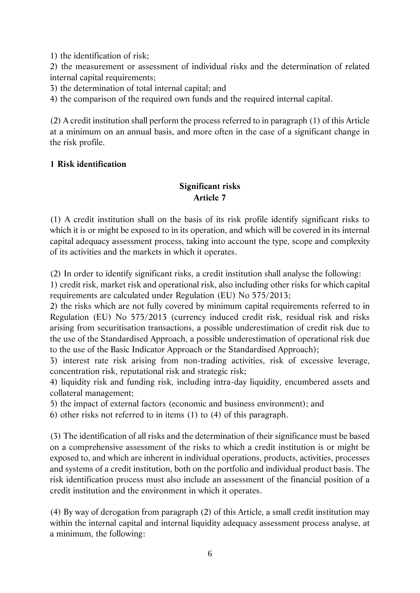*1) the identification of risk;*

*2) the measurement or assessment of individual risks and the determination of related internal capital requirements;*

*3) the determination of total internal capital; and*

*4) the comparison of the required own funds and the required internal capital.* 

*(2) A credit institution shall perform the process referred to in paragraph (1) of this Article at a minimum on an annual basis, and more often in the case of a significant change in the risk profile.* 

#### *1 Risk identification*

## *Significant risks Article 7*

*(1) A credit institution shall on the basis of its risk profile identify significant risks to*  which it is or might be exposed to in its operation, and which will be covered in its internal *capital adequacy assessment process, taking into account the type, scope and complexity of its activities and the markets in which it operates.*

*(2) In order to identify significant risks, a credit institution shall analyse the following:*

*1) credit risk, market risk and operational risk, also including other risks for which capital requirements are calculated under Regulation (EU) No 575/2013;*

*2) the risks which are not fully covered by minimum capital requirements referred to in Regulation (EU) No 575/2013 (currency induced credit risk, residual risk and risks arising from securitisation transactions, a possible underestimation of credit risk due to the use of the Standardised Approach, a possible underestimation of operational risk due to the use of the Basic Indicator Approach or the Standardised Approach);*

*3) interest rate risk arising from non-trading activities, risk of excessive leverage, concentration risk, reputational risk and strategic risk;*

*4) liquidity risk and funding risk, including intra-day liquidity, encumbered assets and collateral management;*

*5) the impact of external factors (economic and business environment); and*

*6) other risks not referred to in items (1) to (4) of this paragraph.*

*(3) The identification of all risks and the determination of their significance must be based on a comprehensive assessment of the risks to which a credit institution is or might be exposed to, and which are inherent in individual operations, products, activities, processes and systems of a credit institution, both on the portfolio and individual product basis. The risk identification process must also include an assessment of the financial position of a credit institution and the environment in which it operates.*

*(4) By way of derogation from paragraph (2) of this Article, a small credit institution may within the internal capital and internal liquidity adequacy assessment process analyse, at a minimum, the following:*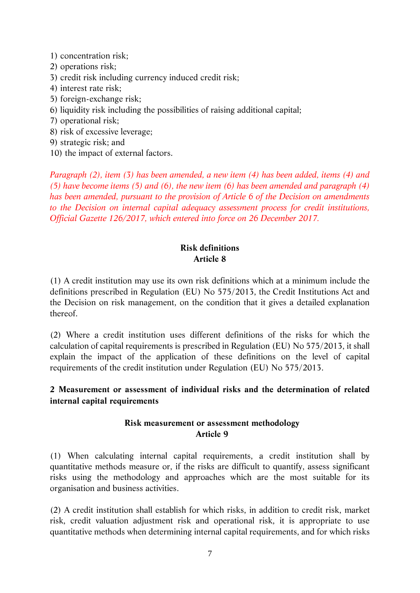- *1) concentration risk;*
- *2) operations risk;*
- *3) credit risk including currency induced credit risk;*
- *4) interest rate risk;*
- *5) foreign-exchange risk;*
- *6) liquidity risk including the possibilities of raising additional capital;*
- *7) operational risk;*
- *8) risk of excessive leverage;*
- *9) strategic risk; and*
- *10) the impact of external factors.*

*Paragraph (2), item (3) has been amended, a new item (4) has been added, items (4) and (5) have become items (5) and (6), the new item (6) has been amended and paragraph (4) has been amended, pursuant to the provision of Article 6 of the Decision on amendments to the Decision on internal capital adequacy assessment process for credit institutions, Official Gazette 126/2017, which entered into force on 26 December 2017.*

### *Risk definitions Article 8*

*(1) A credit institution may use its own risk definitions which at a minimum include the definitions prescribed in Regulation (EU) No 575/2013, the Credit Institutions Act and the Decision on risk management, on the condition that it gives a detailed explanation thereof.* 

(2) Where a credit institution uses different definitions of the risks for which the *calculation of capital requirements is prescribed in Regulation (EU) No 575/2013, it shall*  explain the impact of the application of these definitions on the level of capital *requirements of the credit institution under Regulation (EU) No 575/2013.*

#### *2 Measurement or assessment of individual risks and the determination of related internal capital requirements*

#### *Risk measurement or assessment methodology Article 9*

*(1) When calculating internal capital requirements, a credit institution shall by quantitative methods measure or, if the risks are difficult to quantify, assess significant risks using the methodology and approaches which are the most suitable for its organisation and business activities.*

*(2) A credit institution shall establish for which risks, in addition to credit risk, market risk, credit valuation adjustment risk and operational risk, it is appropriate to use quantitative methods when determining internal capital requirements, and for which risks*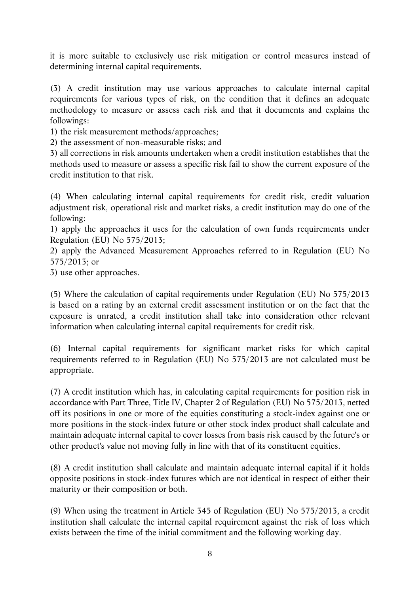*it is more suitable to exclusively use risk mitigation or control measures instead of determining internal capital requirements.*

*(3) A credit institution may use various approaches to calculate internal capital requirements for various types of risk, on the condition that it defines an adequate methodology to measure or assess each risk and that it documents and explains the followings:*

*1) the risk measurement methods/approaches;*

*2) the assessment of non-measurable risks; and*

*3) all corrections in risk amounts undertaken when a credit institution establishes that the methods used to measure or assess a specific risk fail to show the current exposure of the credit institution to that risk.*

*(4) When calculating internal capital requirements for credit risk, credit valuation adjustment risk, operational risk and market risks, a credit institution may do one of the following:*

1) apply the approaches it uses for the calculation of own funds requirements under *Regulation (EU) No 575/2013;* 

*2) apply the Advanced Measurement Approaches referred to in Regulation (EU) No 575/2013; or*

*3) use other approaches.*

*(5) Where the calculation of capital requirements under Regulation (EU) No 575/2013 is based on a rating by an external credit assessment institution or on the fact that the exposure is unrated, a credit institution shall take into consideration other relevant information when calculating internal capital requirements for credit risk.*

*(6) Internal capital requirements for significant market risks for which capital requirements referred to in Regulation (EU) No 575/2013 are not calculated must be appropriate.*

*(7) A credit institution which has, in calculating capital requirements for position risk in accordance with Part Three, Title IV, Chapter 2 of Regulation (EU) No 575/2013, netted off its positions in one or more of the equities constituting a stock-index against one or more positions in the stock-index future or other stock index product shall calculate and maintain adequate internal capital to cover losses from basis risk caused by the future's or other product's value not moving fully in line with that of its constituent equities.*

*(8) A credit institution shall calculate and maintain adequate internal capital if it holds opposite positions in stock-index futures which are not identical in respect of either their maturity or their composition or both.*

*(9) When using the treatment in Article 345 of Regulation (EU) No 575/2013, a credit institution shall calculate the internal capital requirement against the risk of loss which exists between the time of the initial commitment and the following working day.*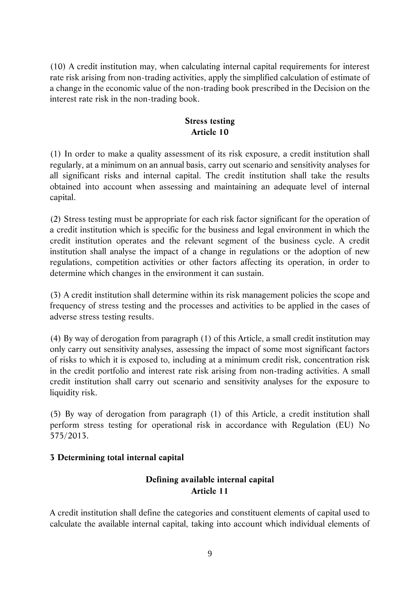*(10) A credit institution may, when calculating internal capital requirements for interest*  rate risk arising from non-trading activities, apply the simplified calculation of estimate of *a change in the economic value of the non-trading book prescribed in the Decision on the interest rate risk in the non-trading book.*

#### *Stress testing Article 10*

*(1) In order to make a quality assessment of its risk exposure, a credit institution shall regularly, at a minimum on an annual basis, carry out scenario and sensitivity analyses for all significant risks and internal capital. The credit institution shall take the results obtained into account when assessing and maintaining an adequate level of internal capital.*

*(2) Stress testing must be appropriate for each risk factor significant for the operation of a credit institution which is specific for the business and legal environment in which the credit institution operates and the relevant segment of the business cycle. A credit institution shall analyse the impact of a change in regulations or the adoption of new regulations, competition activities or other factors affecting its operation, in order to determine which changes in the environment it can sustain.*

*(3) A credit institution shall determine within its risk management policies the scope and frequency of stress testing and the processes and activities to be applied in the cases of adverse stress testing results.* 

*(4) By way of derogation from paragraph (1) of this Article, a small credit institution may only carry out sensitivity analyses, assessing the impact of some most significant factors of risks to which it is exposed to, including at a minimum credit risk, concentration risk*  in the credit portfolio and interest rate risk arising from non-trading activities. A small *credit institution shall carry out scenario and sensitivity analyses for the exposure to liquidity risk.* 

*(5) By way of derogation from paragraph (1) of this Article, a credit institution shall perform stress testing for operational risk in accordance with Regulation (EU) No 575/2013.*

#### *3 Determining total internal capital*

### *Defining available internal capital Article 11*

*A credit institution shall define the categories and constituent elements of capital used to calculate the available internal capital, taking into account which individual elements of*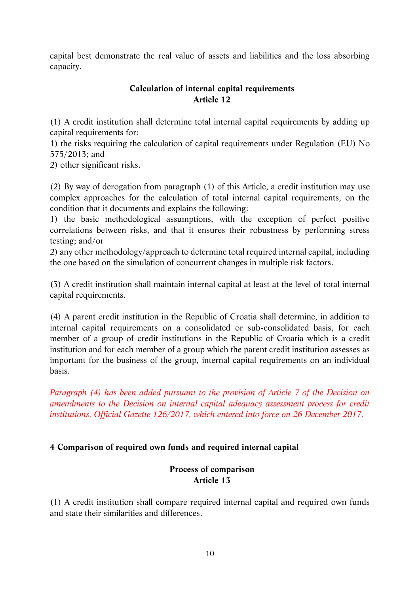*capital best demonstrate the real value of assets and liabilities and the loss absorbing capacity.*

### *Calculation of internal capital requirements Article 12*

*(1) A credit institution shall determine total internal capital requirements by adding up capital requirements for:*

*1) the risks requiring the calculation of capital requirements under Regulation (EU) No 575/2013; and*

*2) other significant risks.*

*(2) By way of derogation from paragraph (1) of this Article, a credit institution may use complex approaches for the calculation of total internal capital requirements, on the condition that it documents and explains the following:*

1) the basic methodological assumptions, with the exception of perfect positive *correlations between risks, and that it ensures their robustness by performing stress testing; and/or*

*2) any other methodology/approach to determine total required internal capital, including the one based on the simulation of concurrent changes in multiple risk factors.*

*(3) A credit institution shall maintain internal capital at least at the level of total internal capital requirements.*

*(4) A parent credit institution in the Republic of Croatia shall determine, in addition to internal capital requirements on a consolidated or sub-consolidated basis, for each member of a group of credit institutions in the Republic of Croatia which is a credit institution and for each member of a group which the parent credit institution assesses as important for the business of the group, internal capital requirements on an individual basis.* 

*Paragraph (4) has been added pursuant to the provision of Article 7 of the Decision on amendments to the Decision on internal capital adequacy assessment process for credit institutions, Official Gazette 126/2017, which entered into force on 26 December 2017.*

### *4 Comparison of required own funds and required internal capital*

#### *Process of comparison Article 13*

*(1) A credit institution shall compare required internal capital and required own funds and state their similarities and differences.*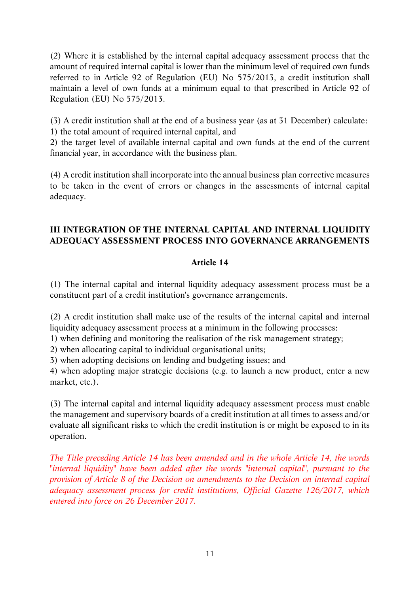*(2) Where it is established by the internal capital adequacy assessment process that the amount of required internal capital is lower than the minimum level of required own funds referred to in Article 92 of Regulation (EU) No 575/2013, a credit institution shall maintain a level of own funds at a minimum equal to that prescribed in Article 92 of Regulation (EU) No 575/2013.*

*(3) A credit institution shall at the end of a business year (as at 31 December) calculate: 1) the total amount of required internal capital, and*

*2) the target level of available internal capital and own funds at the end of the current financial year, in accordance with the business plan.*

*(4) A credit institution shall incorporate into the annual business plan corrective measures*  to be taken in the event of errors or changes in the assessments of internal capital *adequacy.*

### *III INTEGRATION OF THE INTERNAL CAPITAL AND INTERNAL LIQUIDITY ADEQUACY ASSESSMENT PROCESS INTO GOVERNANCE ARRANGEMENTS*

### *Article 14*

*(1) The internal capital and internal liquidity adequacy assessment process must be a constituent part of a credit institution's governance arrangements.*

*(2) A credit institution shall make use of the results of the internal capital and internal liquidity adequacy assessment process at a minimum in the following processes:*

*1) when defining and monitoring the realisation of the risk management strategy;*

*2) when allocating capital to individual organisational units;*

*3) when adopting decisions on lending and budgeting issues; and*

*4) when adopting major strategic decisions (e.g. to launch a new product, enter a new market, etc.).*

*(3) The internal capital and internal liquidity adequacy assessment process must enable the management and supervisory boards of a credit institution at all times to assess and/or evaluate all significant risks to which the credit institution is or might be exposed to in its operation.*

*The Title preceding Article 14 has been amended and in the whole Article 14, the words "internal liquidity" have been added after the words "internal capital", pursuant to the provision of Article 8 of the Decision on amendments to the Decision on internal capital adequacy assessment process for credit institutions, Official Gazette 126/2017, which entered into force on 26 December 2017.*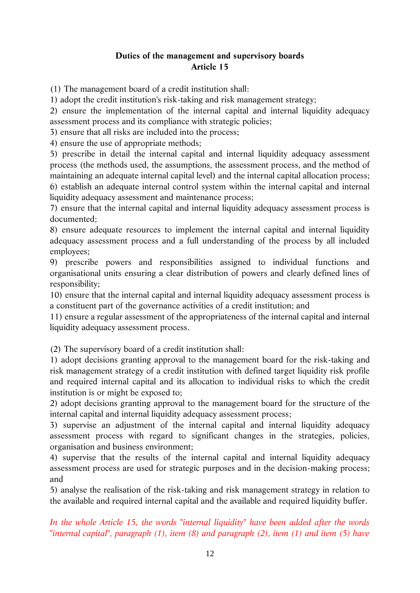#### *Duties of the management and supervisory boards Article 15*

*(1) The management board of a credit institution shall:*

*1) adopt the credit institution's risk-taking and risk management strategy;*

*2) ensure the implementation of the internal capital and internal liquidity adequacy assessment process and its compliance with strategic policies;*

*3) ensure that all risks are included into the process;*

*4) ensure the use of appropriate methods;*

*5) prescribe in detail the internal capital and internal liquidity adequacy assessment*  process (the methods used, the assumptions, the assessment process, and the method of *maintaining an adequate internal capital level) and the internal capital allocation process; 6) establish an adequate internal control system within the internal capital and internal liquidity adequacy assessment and maintenance process;*

*7) ensure that the internal capital and internal liquidity adequacy assessment process is documented;*

*8) ensure adequate resources to implement the internal capital and internal liquidity adequacy assessment process and a full understanding of the process by all included employees;*

*9) prescribe powers and responsibilities assigned to individual functions and organisational units ensuring a clear distribution of powers and clearly defined lines of responsibility;*

*10) ensure that the internal capital and internal liquidity adequacy assessment process is a constituent part of the governance activities of a credit institution; and*

*11) ensure a regular assessment of the appropriateness of the internal capital and internal liquidity adequacy assessment process.*

*(2) The supervisory board of a credit institution shall:*

*1) adopt decisions granting approval to the management board for the risk-taking and risk management strategy of a credit institution with defined target liquidity risk profile and required internal capital and its allocation to individual risks to which the credit institution is or might be exposed to;* 

*2) adopt decisions granting approval to the management board for the structure of the internal capital and internal liquidity adequacy assessment process;*

*3) supervise an adjustment of the internal capital and internal liquidity adequacy assessment process with regard to significant changes in the strategies, policies, organisation and business environment;*

*4) supervise that the results of the internal capital and internal liquidity adequacy assessment process are used for strategic purposes and in the decision-making process; and*

*5) analyse the realisation of the risk-taking and risk management strategy in relation to the available and required internal capital and the available and required liquidity buffer.*

*In the whole Article 15, the words "internal liquidity" have been added after the words "internal capital", paragraph (1), item (8) and paragraph (2), item (1) and item (5) have*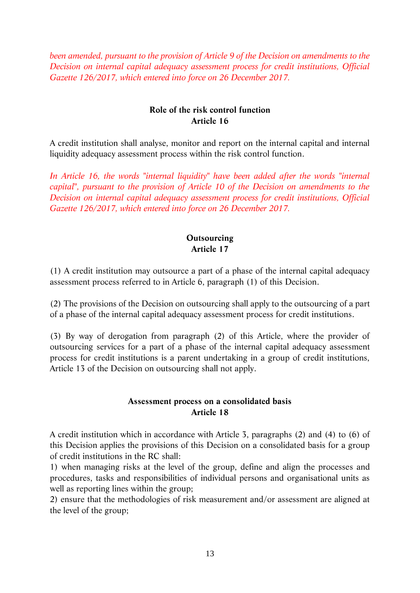*been amended, pursuant to the provision of Article 9 of the Decision on amendments to the Decision on internal capital adequacy assessment process for credit institutions, Official Gazette 126/2017, which entered into force on 26 December 2017.*

#### *Role of the risk control function Article 16*

*A credit institution shall analyse, monitor and report on the internal capital and internal liquidity adequacy assessment process within the risk control function.* 

*In Article 16, the words "internal liquidity" have been added after the words "internal capital", pursuant to the provision of Article 10 of the Decision on amendments to the Decision on internal capital adequacy assessment process for credit institutions, Official Gazette 126/2017, which entered into force on 26 December 2017.*

#### *Outsourcing Article 17*

*(1) A credit institution may outsource a part of a phase of the internal capital adequacy assessment process referred to in Article 6, paragraph (1) of this Decision.*

*(2) The provisions of the Decision on outsourcing shall apply to the outsourcing of a part of a phase of the internal capital adequacy assessment process for credit institutions.*

*(3) By way of derogation from paragraph (2) of this Article, where the provider of outsourcing services for a part of a phase of the internal capital adequacy assessment process for credit institutions is a parent undertaking in a group of credit institutions, Article 13 of the Decision on outsourcing shall not apply.*

#### *Assessment process on a consolidated basis Article 18*

*A credit institution which in accordance with Article 3, paragraphs (2) and (4) to (6) of this Decision applies the provisions of this Decision on a consolidated basis for a group of credit institutions in the RC shall:*

*1) when managing risks at the level of the group, define and align the processes and procedures, tasks and responsibilities of individual persons and organisational units as well as reporting lines within the group;*

*2) ensure that the methodologies of risk measurement and/or assessment are aligned at the level of the group;*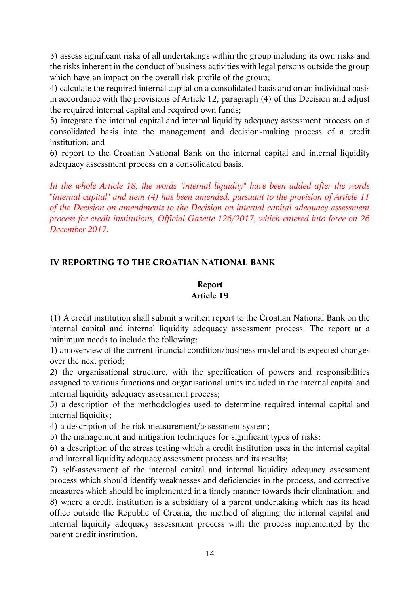*3) assess significant risks of all undertakings within the group including its own risks and the risks inherent in the conduct of business activities with legal persons outside the group which have an impact on the overall risk profile of the group;*

*4) calculate the required internal capital on a consolidated basis and on an individual basis in accordance with the provisions of Article 12, paragraph (4) of this Decision and adjust the required internal capital and required own funds;*

*5) integrate the internal capital and internal liquidity adequacy assessment process on a consolidated basis into the management and decision-making process of a credit institution; and*

*6) report to the Croatian National Bank on the internal capital and internal liquidity adequacy assessment process on a consolidated basis.*

*In the whole Article 18, the words "internal liquidity" have been added after the words "internal capital" and item (4) has been amended, pursuant to the provision of Article 11 of the Decision on amendments to the Decision on internal capital adequacy assessment process for credit institutions, Official Gazette 126/2017, which entered into force on 26 December 2017.*

### *IV REPORTING TO THE CROATIAN NATIONAL BANK*

#### *Report Article 19*

*(1) A credit institution shall submit a written report to the Croatian National Bank on the*  internal capital and internal liquidity adequacy assessment process. The report at a *minimum needs to include the following:*

*1) an overview of the current financial condition/business model and its expected changes over the next period;*

*2) the organisational structure, with the specification of powers and responsibilities assigned to various functions and organisational units included in the internal capital and internal liquidity adequacy assessment process;*

*3) a description of the methodologies used to determine required internal capital and internal liquidity;*

*4) a description of the risk measurement/assessment system;*

*5) the management and mitigation techniques for significant types of risks;*

*6) a description of the stress testing which a credit institution uses in the internal capital and internal liquidity adequacy assessment process and its results;*

*7) self-assessment of the internal capital and internal liquidity adequacy assessment process which should identify weaknesses and deficiencies in the process, and corrective measures which should be implemented in a timely manner towards their elimination; and 8) where a credit institution is a subsidiary of a parent undertaking which has its head office outside the Republic of Croatia, the method of aligning the internal capital and internal liquidity adequacy assessment process with the process implemented by the parent credit institution.*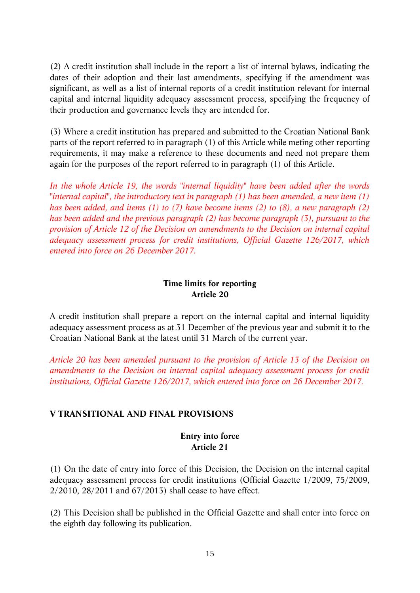*(2) A credit institution shall include in the report a list of internal bylaws, indicating the dates of their adoption and their last amendments, specifying if the amendment was significant, as well as a list of internal reports of a credit institution relevant for internal capital and internal liquidity adequacy assessment process, specifying the frequency of their production and governance levels they are intended for.*

*(3) Where a credit institution has prepared and submitted to the Croatian National Bank parts of the report referred to in paragraph (1) of this Article while meting other reporting requirements, it may make a reference to these documents and need not prepare them again for the purposes of the report referred to in paragraph (1) of this Article.*

*In the whole Article 19, the words "internal liquidity" have been added after the words "internal capital", the introductory text in paragraph (1) has been amended, a new item (1) has been added, and items (1) to (7) have become items (2) to (8), a new paragraph (2) has been added and the previous paragraph (2) has become paragraph (3), pursuant to the provision of Article 12 of the Decision on amendments to the Decision on internal capital adequacy assessment process for credit institutions, Official Gazette 126/2017, which entered into force on 26 December 2017.*

#### *Time limits for reporting Article 20*

*A credit institution shall prepare a report on the internal capital and internal liquidity adequacy assessment process as at 31 December of the previous year and submit it to the Croatian National Bank at the latest until 31 March of the current year.*

*Article 20 has been amended pursuant to the provision of Article 13 of the Decision on amendments to the Decision on internal capital adequacy assessment process for credit institutions, Official Gazette 126/2017, which entered into force on 26 December 2017.*

### *V TRANSITIONAL AND FINAL PROVISIONS*

#### *Entry into force Article 21*

*(1) On the date of entry into force of this Decision, the Decision on the internal capital adequacy assessment process for credit institutions (Official Gazette 1/2009, 75/2009, 2/2010, 28/2011 and 67/2013) shall cease to have effect.*

*(2) This Decision shall be published in the Official Gazette and shall enter into force on the eighth day following its publication.*